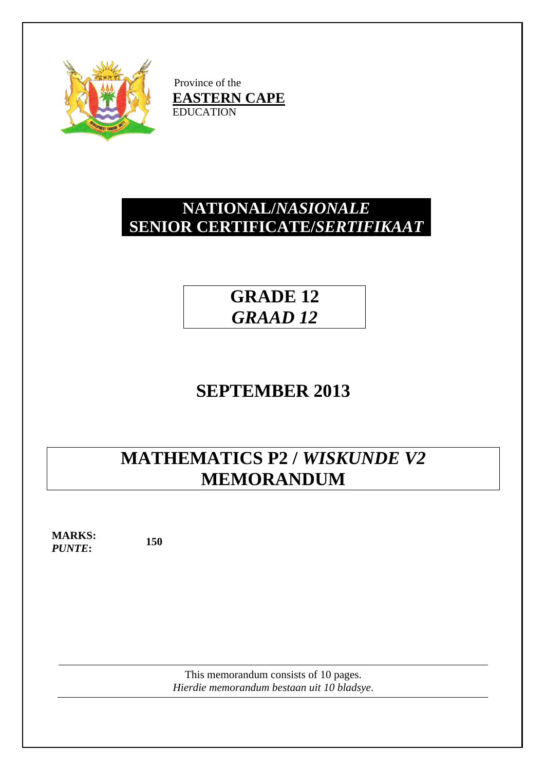

Province of the **EASTERN CAPE** EDUCATION

## **NATIONAL/***NASIONALE* **SENIOR CERTIFICATE/***SERTIFIKAAT*

**GRADE 12** *GRAAD 12*

## **SEPTEMBER 2013**

# **MATHEMATICS P2 /** *WISKUNDE V2* **MEMORANDUM**

**MARKS:** *PUNTE***:**

**150**

This memorandum consists of 10 pages. *Hierdie memorandum bestaan uit 10 bladsye*.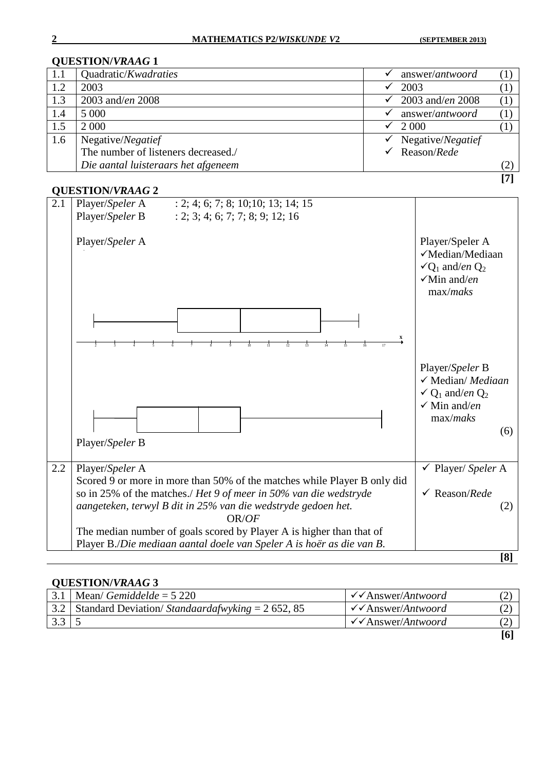| 1.1 | Quadratic/Kwadraties                | answer/antwoord          |  |
|-----|-------------------------------------|--------------------------|--|
| 1.2 | 2003                                | 2003                     |  |
| 1.3 | 2003 and/ <i>en</i> 2008            | 2003 and/ <i>en</i> 2008 |  |
| 1.4 | 5 0 0 0                             | answer/antwoord          |  |
| 1.5 | 2 0 0 0                             | 2 0 0 0                  |  |
| 1.6 | Negative/Negatief                   | Negative/Negatief        |  |
|     | The number of listeners decreased./ | Reason/Rede              |  |
|     | Die aantal luisteraars het afgeneem |                          |  |
|     |                                     |                          |  |

#### **QUESTION/***VRAAG* **2**



|     | Mean/ <i>Gemiddelde</i> = $5220$                  | $\sqrt{\sqrt{A}}$ nswer/Antwoord | $\angle$ |
|-----|---------------------------------------------------|----------------------------------|----------|
|     | Standard Deviation/Standaardafwyking $= 2652, 85$ | $\checkmark$ Answer/Antwoord     | $\angle$ |
| 3.3 |                                                   | $\sqrt{\sqrt{A}}$ nswer/Antwoord |          |
|     |                                                   |                                  |          |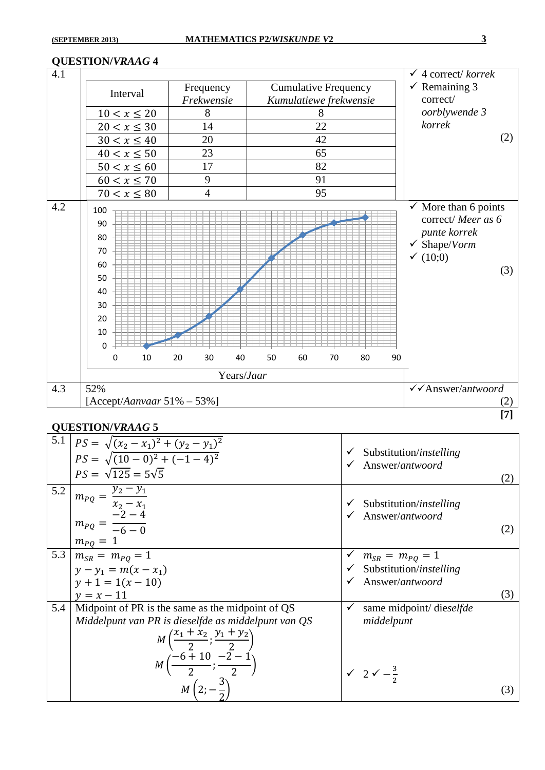

|     | 5.1   $PS = \sqrt{(x_2 - x_1)^2 + (y_2 - y_1)^2}$    |              | Substitution/instelling        |     |
|-----|------------------------------------------------------|--------------|--------------------------------|-----|
|     | $PS = \sqrt{(10-0)^2 + (-1-4)^2}$                    |              | Answer/antwoord                |     |
|     | $PS = \sqrt{125} = 5\sqrt{5}$                        |              |                                | (2) |
| 5.2 | $m_{PQ} = \frac{y_2 - y_1}{x_2 - x_1}$               |              |                                |     |
|     |                                                      |              | Substitution/instelling        |     |
|     | $-2 - 4$                                             |              | Answer/antwoord                |     |
|     | $m_{PQ} = \frac{1}{-6-0}$                            |              |                                | (2) |
|     | $m_{PQ} = 1$                                         |              |                                |     |
|     | 5.3 $m_{SR} = m_{PQ} = 1$                            |              | $m_{SR} = m_{PO} = 1$          |     |
|     | $y - y_1 = m(x - x_1)$                               |              | Substitution/instelling        |     |
|     | $y + 1 = 1(x - 10)$                                  |              | Answer/antwoord                |     |
|     | $y = x - 11$                                         |              |                                | (3) |
| 5.4 | Midpoint of PR is the same as the midpoint of QS     | $\checkmark$ | same midpoint/ dieselfde       |     |
|     | Middelpunt van PR is dieselfde as middelpunt van QS  |              | middelpunt                     |     |
|     | $M\left(\frac{x_1+x_2}{2}; \frac{y_1+y_2}{2}\right)$ |              |                                |     |
|     | $M\left(\frac{-6+10}{2};\frac{-2-1}{2}\right)$       |              |                                |     |
|     |                                                      |              | $\sqrt{2} \sqrt{-\frac{3}{2}}$ |     |
|     |                                                      |              |                                | (3) |
|     |                                                      |              |                                |     |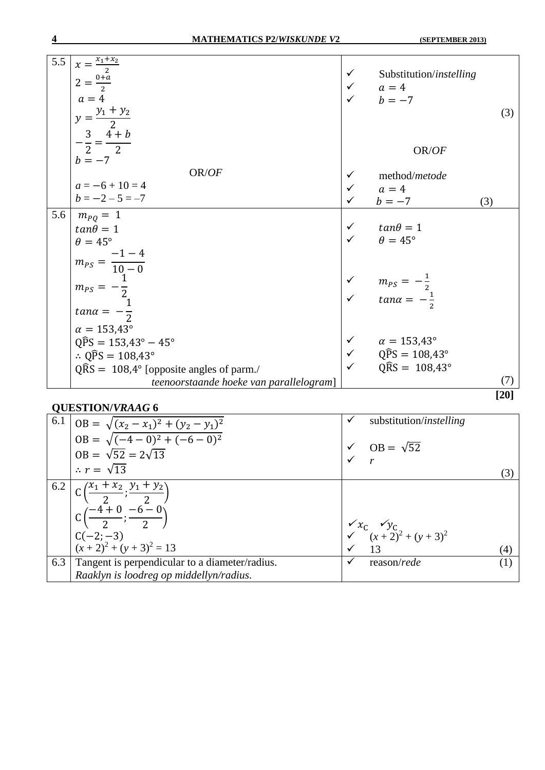| 5.5 | $x = \frac{x_1 + x_2}{2}$<br>$2 = \frac{0 + a}{2}$<br>$a = 4$ |              | Substitution/instelling<br>$\begin{array}{cc}\n\checkmark & a = 4 \\ \checkmark & b = -7\n\end{array}$ |        |
|-----|---------------------------------------------------------------|--------------|--------------------------------------------------------------------------------------------------------|--------|
|     |                                                               |              |                                                                                                        | (3)    |
|     | $y = \frac{y_1 + y_2}{2}$<br>$-\frac{3}{2} = \frac{4+b}{2}$   |              |                                                                                                        |        |
|     | $b=-7$                                                        |              | OR/OF                                                                                                  |        |
|     | OR/OF                                                         |              | method/ <i>metode</i>                                                                                  |        |
|     | $a = -6 + 10 = 4$                                             | $\checkmark$ | $a=4$                                                                                                  |        |
|     | $b = -2 - 5 = -7$                                             |              | $b=-7$                                                                                                 | (3)    |
| 5.6 | $m_{PO}=1$                                                    |              |                                                                                                        |        |
|     | $tan\theta = 1$                                               | $\checkmark$ | $tan\theta = 1$                                                                                        |        |
|     | $\theta = 45^{\circ}$                                         |              | $\theta = 45^{\circ}$                                                                                  |        |
|     | $m_{PS} = \frac{-1-4}{10-0}$<br>$m = \frac{1}{1}$             |              |                                                                                                        |        |
|     |                                                               |              |                                                                                                        |        |
|     |                                                               |              |                                                                                                        |        |
|     | $m_{PS} = -\frac{1}{2}$                                       |              | $m_{PS} = -\frac{1}{2}$<br>$\tan \alpha = -\frac{1}{2}$                                                |        |
|     | $tan\alpha = -\frac{1}{2}$                                    |              |                                                                                                        |        |
|     | $\alpha = 153.43^{\circ}$                                     |              |                                                                                                        |        |
|     | $Q\widehat{P}S = 153,43^{\circ} - 45^{\circ}$                 |              | $\alpha = 153.43^{\circ}$                                                                              |        |
|     | $\therefore$ QPS = 108,43°                                    |              | $\checkmark$ QPS = 108,43°                                                                             |        |
|     | $\widehat{QRS} = 108.4^{\circ}$ [opposite angles of parm./    |              | $Q\widehat{R}S = 108,43^{\circ}$                                                                       |        |
|     | teenoorstaande hoeke van parallelogram]                       |              |                                                                                                        | (7)    |
|     |                                                               |              |                                                                                                        | $[20]$ |

|     | 6.1   OB = $\sqrt{(x_2 - x_1)^2 + (y_2 - y_1)^2}$            | substitution/instelling                      |     |
|-----|--------------------------------------------------------------|----------------------------------------------|-----|
|     | $OB = \sqrt{(-4-0)^2 + (-6-0)^2}$                            |                                              |     |
|     | $OB = \sqrt{52} = 2\sqrt{13}$                                | $OB = \sqrt{52}$                             |     |
|     | $\therefore r = \sqrt{13}$                                   |                                              | (3) |
|     | 6.2 $C\left(\frac{x_1 + x_2}{2}; \frac{y_1 + y_2}{2}\right)$ |                                              |     |
|     |                                                              |                                              |     |
|     | $C\left(\frac{-4+0}{2};\frac{-6-0}{2}\right)$                |                                              |     |
|     | $C(-2, -3)$                                                  | $x^2$<br>$(1+2)^2$<br>$(2+2)^2$<br>$(2+2)^2$ |     |
|     | $(x+2)^{2} + (y+3)^{2} = 13$                                 |                                              | (4) |
| 6.3 | Tangent is perpendicular to a diameter/radius.               | reason/ <i>rede</i><br>$\checkmark$          | (1) |
|     | Raaklyn is loodreg op middellyn/radius.                      |                                              |     |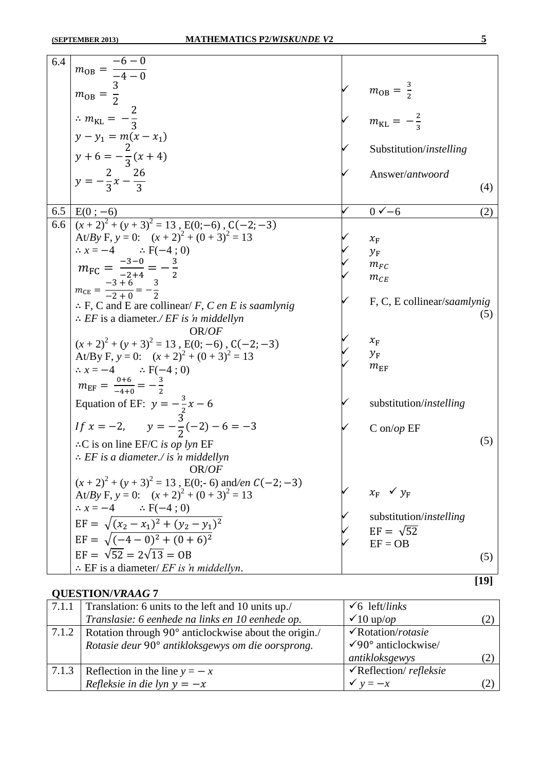| 6.4 |                                                                                                          |              |                                      |
|-----|----------------------------------------------------------------------------------------------------------|--------------|--------------------------------------|
|     | $m_{OB} = \frac{-6 - 0}{-4 - 0}$<br>$m_{OB} = \frac{3}{2}$                                               |              |                                      |
|     |                                                                                                          |              | $m_{OB} = \frac{3}{2}$               |
|     |                                                                                                          |              |                                      |
|     |                                                                                                          |              |                                      |
|     | $\therefore m_{\text{KL}} = -\frac{2}{3}$                                                                |              | $m_{\text{KL}} = -\frac{2}{3}$       |
|     |                                                                                                          |              |                                      |
|     | $y - y_1 = m(x - x_1)$<br>$y + 6 = -\frac{2}{3}(x + 4)$                                                  |              | Substitution/instelling              |
|     |                                                                                                          |              | Answer/antwoord                      |
|     | $y=-\frac{2}{3}x-\frac{26}{3}$                                                                           |              | (4)                                  |
|     |                                                                                                          |              |                                      |
| 6.5 | $E(0; -6)$                                                                                               | $\checkmark$ | $0 \sqrt{-6}$<br>(2)                 |
| 6.6 | $(x+2)^{2} + (y+3)^{2} = 13$ , E(0;-6), C(-2; -3)                                                        |              |                                      |
|     | At/By F, $y = 0$ : $(x + 2)^2 + (0 + 3)^2 = 13$                                                          |              | $x_{\rm F}$                          |
|     | $\therefore$ $x = -4$ $\therefore$ F(-4 ; 0)                                                             |              | $y_F$                                |
|     |                                                                                                          |              | $m_{FC}$                             |
|     | $m_{\text{FC}} = \frac{-3-0}{-2+4} = -\frac{3}{2}$<br>$m_{\text{CE}} = \frac{-3+6}{-2+0} = -\frac{3}{2}$ |              | $m_{CE}$                             |
|     |                                                                                                          |              |                                      |
|     | $\therefore$ F, C and E are collinear/ F, C en E is saamlynig.                                           |              | F, C, E collinear/saamlynig          |
|     | $\therefore$ EF is a diameter./ EF is 'n middellyn                                                       |              | (5)                                  |
|     | OR/OF                                                                                                    |              |                                      |
|     |                                                                                                          |              | $x_{\rm F}$                          |
|     | $(x+2)^{2} + (y+3)^{2} = 13$ , E(0; -6), C(-2; -3)                                                       |              | $y_F$                                |
|     | At/By F, $y = 0$ : $(x + 2)^2 + (0 + 3)^2 = 13$                                                          |              | $m_{\rm EF}$                         |
|     | $\therefore x = -4 \qquad \therefore F(-4; 0)$                                                           |              |                                      |
|     | $m_{\text{EF}} = \frac{0+6}{-4+0} = -\frac{3}{2}$                                                        |              |                                      |
|     | Equation of EF: $y = -\frac{3}{2}x - 6$                                                                  |              | substitution/instelling              |
|     |                                                                                                          |              |                                      |
|     | If $x = -2$ , $y = -\frac{3}{2}(-2) - 6 = -3$                                                            |              | $C \text{ on} / op EF$               |
|     | $\therefore$ C is on line EF/C is op lyn EF                                                              |              | (5)                                  |
|     | $\therefore$ EF is a diameter./ is 'n middellyn                                                          |              |                                      |
|     | OR/OF                                                                                                    |              |                                      |
|     | $(x+2)^{2} + (y+3)^{2} = 13$ , E(0;-6) and/en $C(-2, -3)$                                                |              |                                      |
|     | At/By F, $y = 0$ : $(x + 2)^2 + (0 + 3)^2 = 13$                                                          |              | $x_{\rm F}$ $\checkmark$ $y_{\rm F}$ |
|     | $\therefore x = -4 \qquad \therefore F(-4; 0)$                                                           |              |                                      |
|     | EF = $\sqrt{(x_2 - x_1)^2 + (y_2 - y_1)^2}$                                                              |              | substitution/instelling              |
|     |                                                                                                          |              | $EF = \sqrt{52}$                     |
|     | $EF = \sqrt{(-4-0)^2 + (0+6)^2}$                                                                         |              | $EF = OB$                            |
|     | $EF = \sqrt{52} = 2\sqrt{13} = 0B$                                                                       |              | (5)                                  |
|     | $\therefore$ EF is a diameter/ EF is 'n middellyn.                                                       |              |                                      |

| 7.1.1   Translation: 6 units to the left and 10 units up./    | $\checkmark$ 6 left/links          |  |
|---------------------------------------------------------------|------------------------------------|--|
| Translasie: 6 eenhede na links en 10 eenhede op.              | $\checkmark$ 10 up/op              |  |
| 7.1.2   Rotation through 90° anticlockwise about the origin./ | $\checkmark$ Rotation/rotasie      |  |
| Rotasie deur 90° antikloksgewys om die oorsprong.             | $\sqrt{90^{\circ}}$ anticlockwise/ |  |
|                                                               | antikloksgewys                     |  |
| 7.1.3   Reflection in the line $y = -x$                       | $\checkmark$ Reflection/refleksie  |  |
| Refleksie in die lyn $y = -x$                                 | $y = -x$                           |  |

**[19]**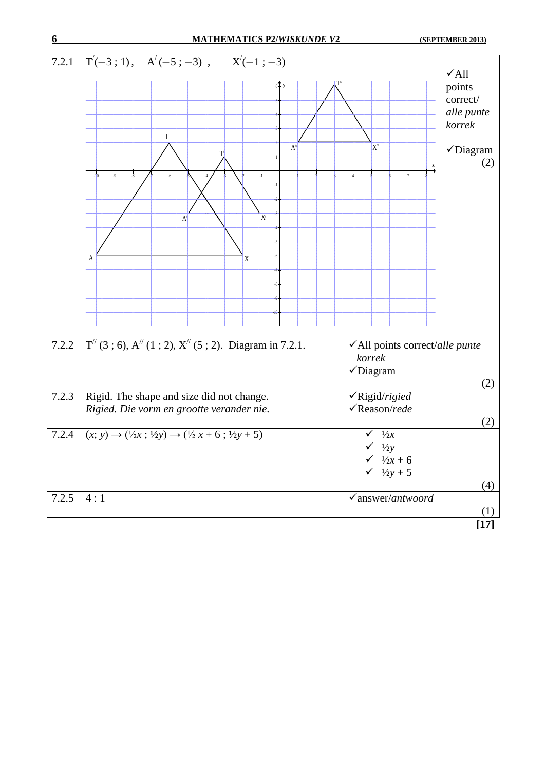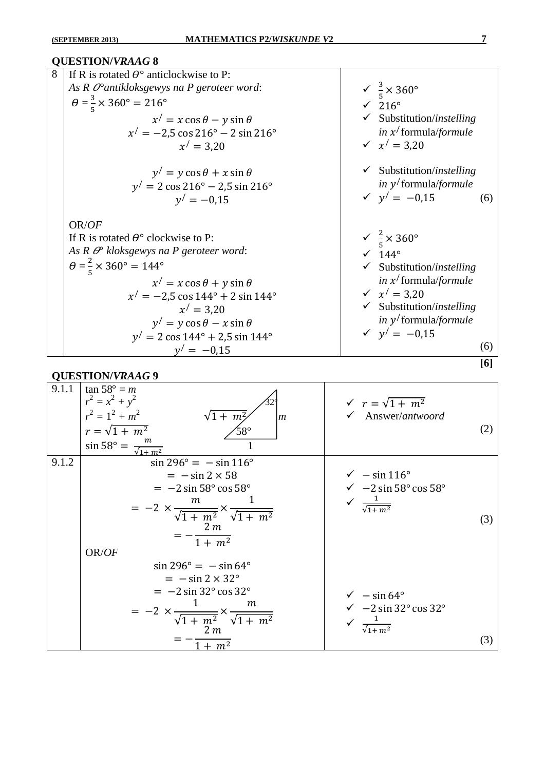|   |                                                                                                                                                                                                                                                                                                                                | [6]                                                                                                                                                                                                                                          |
|---|--------------------------------------------------------------------------------------------------------------------------------------------------------------------------------------------------------------------------------------------------------------------------------------------------------------------------------|----------------------------------------------------------------------------------------------------------------------------------------------------------------------------------------------------------------------------------------------|
|   | As $R \n\mathscr{P}$ kloksgewys na P geroteer word:<br>$\theta = \frac{2}{5} \times 360^{\circ} = 144^{\circ}$<br>$x' = x \cos \theta + y \sin \theta$<br>$x' = -2.5 \cos 144^\circ + 2 \sin 144^\circ$<br>$x' = 3.20$<br>$y' = y \cos \theta - x \sin \theta$<br>$y' = 2 \cos 144^\circ + 2.5 \sin 144^\circ$<br>$v' = -0.15$ | $\checkmark$ 144°<br>$\checkmark$ Substitution/instelling<br>in $x$ <sup>/</sup> formula/ <i>formule</i><br>$x' = 3,20$<br>$\checkmark$ Substitution/instelling<br>in $y$ <sup>/</sup> formula/ <i>formule</i><br>$\sqrt{y'} = -0.15$<br>(6) |
|   | OR/OF<br>If R is rotated $\theta^{\circ}$ clockwise to P:                                                                                                                                                                                                                                                                      | $\sqrt{\frac{2}{5}} \times 360^{\circ}$                                                                                                                                                                                                      |
|   | $y' = y \cos \theta + x \sin \theta$<br>$y' = 2 \cos 216^\circ - 2.5 \sin 216^\circ$<br>$y' = -0.15$                                                                                                                                                                                                                           | $\checkmark$ Substitution/ <i>instelling</i><br>in $y$ <sup>/</sup> formula/ <i>formule</i><br>$\sqrt{y'} = -0.15$<br>(6)                                                                                                                    |
| 8 | If R is rotated $\theta^{\circ}$ anticlockwise to P:<br>As $R \theta$ <sup>o</sup> antikloksgewys na P geroteer word:<br>$\theta = \frac{3}{5} \times 360^{\circ} = 216^{\circ}$<br>$x' = x \cos \theta - y \sin \theta$<br>$x' = -2.5 \cos 216^\circ - 2 \sin 216^\circ$<br>$x' = 3.20$                                       | $\sqrt{\frac{3}{5}} \times 360^{\circ}$<br>$\sqrt{216^\circ}$<br>$\checkmark$ Substitution/ <i>instelling</i><br>in $x$ <sup>/</sup> formula/ <i>formule</i><br>$\sqrt{x}$ = 3,20                                                            |

| 9.1.1 | $\tan 58^\circ = m$<br>$r^2 = x^2 + y^2$<br>$r^2 = 1^2 + m^2$<br>$\sqrt{1+m^2}$<br>m<br>$r = \sqrt{1 + m^2}$<br>58°<br>$\sin 58^\circ = \frac{m}{\sqrt{1 + m^2}}$ | $\sqrt{r} = \sqrt{1 + m^2}$<br>$\checkmark$ Answer/antwoord<br>(2) |     |
|-------|-------------------------------------------------------------------------------------------------------------------------------------------------------------------|--------------------------------------------------------------------|-----|
| 9.1.2 | $\sin 296^\circ = -\sin 116^\circ$<br>$=$ $-\sin 2 \times 58$                                                                                                     | $\sqrt{-\sin 116^\circ}$                                           |     |
|       | $=$ -2 sin 58 $^{\circ}$ cos 58 $^{\circ}$                                                                                                                        | $\sim -2 \sin 58^\circ \cos 58^\circ$                              |     |
|       | $= -2 \times \frac{m}{\sqrt{1 + m^2}} \times \frac{1}{\sqrt{1 + m^2}}$                                                                                            | $\sqrt{\frac{1}{\sqrt{1+m^2}}}$                                    |     |
|       |                                                                                                                                                                   | (3)                                                                |     |
|       | $=-\frac{2m}{1+m^2}$                                                                                                                                              |                                                                    |     |
|       | OR/OF                                                                                                                                                             |                                                                    |     |
|       | $\sin 296^\circ = -\sin 64^\circ$                                                                                                                                 |                                                                    |     |
|       | $=$ $-\sin 2 \times 32^{\circ}$                                                                                                                                   |                                                                    |     |
|       | $=$ -2 sin 32 $^{\circ}$ cos 32 $^{\circ}$                                                                                                                        | $\sqrt{-\sin 64^\circ}$                                            |     |
|       | т                                                                                                                                                                 | $\sim -2 \sin 32^\circ \cos 32^\circ$                              |     |
|       | $= -2 \times \frac{1}{\sqrt{1 + m^2}} \times \frac{1}{\sqrt{1 + m^2}}$                                                                                            | $\frac{1}{\sqrt{1+m^2}}$                                           |     |
|       | 2 <sub>m</sub><br>$1 + m^2$                                                                                                                                       |                                                                    | (3) |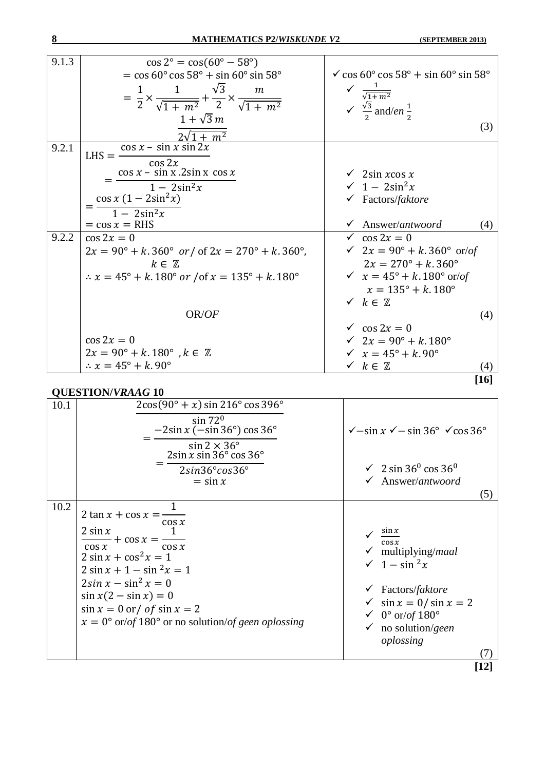| 9.1.3 | $\cos 2^{\circ} = \cos(60^{\circ} - 58^{\circ})$                                          |                                                                                     |
|-------|-------------------------------------------------------------------------------------------|-------------------------------------------------------------------------------------|
|       | $=$ cos 60 $\degree$ cos 58 $\degree$ + sin 60 $\degree$ sin 58 $\degree$                 | $\checkmark$ cos 60° cos 58° + sin 60° sin 58°                                      |
|       |                                                                                           |                                                                                     |
|       | $=\frac{1}{2}\times\frac{1}{\sqrt{1+m^2}}+\frac{\sqrt{3}}{2}\times\frac{m}{\sqrt{1+m^2}}$ | $\sqrt{\frac{1}{\sqrt{1+m^2}}}$<br>$\sqrt{\frac{\sqrt{3}}{2}}$ and/en $\frac{1}{2}$ |
|       | $1+\sqrt{3}m$                                                                             |                                                                                     |
|       |                                                                                           | (3)                                                                                 |
|       | $2\sqrt{1+m^2}$<br>$\cos x - \sin x \sin 2x$                                              |                                                                                     |
| 9.2.1 | $LHS = -$                                                                                 |                                                                                     |
|       | $\cos 2x$<br>$\cos x - \sin x . 2\sin x \cos x$                                           |                                                                                     |
|       | $1 - 2\sin^2 x$                                                                           | $\checkmark$ 2sin xcos x<br>$\sqrt{1-2\sin^2 x}$                                    |
|       | $\cos x (1 - 2\sin^2 x)$                                                                  |                                                                                     |
|       | $\frac{1 - 2\sin^2 x}{1 - 2\sin^2 x}$                                                     | $\checkmark$ Factors/faktore                                                        |
|       | $=$ cos $x$ = RHS                                                                         | $\checkmark$ Answer/antwoord<br>(4)                                                 |
| 9.2.2 | $\cos 2x = 0$                                                                             | $\sqrt{\cos 2x} = 0$                                                                |
|       | $2x = 90^{\circ} + k.360^{\circ}$ or / of $2x = 270^{\circ} + k.360^{\circ}$ ,            | $\checkmark$ 2x = 90° + k.360° or/of                                                |
|       | $k \in \mathbb{Z}$                                                                        | $2x = 270^{\circ} + k.360^{\circ}$                                                  |
|       | $\therefore$ $x = 45^{\circ} + k.180^{\circ}$ or /of $x = 135^{\circ} + k.180^{\circ}$    | $x = 45^{\circ} + k.180^{\circ}$ or/of                                              |
|       |                                                                                           | $x = 135^{\circ} + k.180^{\circ}$                                                   |
|       |                                                                                           | $\checkmark k \in \mathbb{Z}$                                                       |
|       | OR/OF                                                                                     | (4)                                                                                 |
|       |                                                                                           | $\sqrt{\cos 2x} = 0$                                                                |
|       | $\cos 2x = 0$                                                                             | $\angle$ 2x = 90° + k.180°                                                          |
|       | $2x = 90^{\circ} + k.180^{\circ}$ , $k \in \mathbb{Z}$                                    | $x = 45^{\circ} + k.90^{\circ}$                                                     |
|       | $\therefore x = 45^{\circ} + k.90^{\circ}$                                                | $\checkmark$ $k \in \mathbb{Z}$<br>(4)                                              |
|       |                                                                                           | [16]                                                                                |

10.1  $2\cos(90^\circ + x) \sin 216^\circ \cos 396^\circ$  $\overline{\mathbf{S}}$  $= \overline{\phantom{0}}$ S  $=$  - $\overline{c}$  $2sin36°cos36°$  $=$  sin x  $\sqrt{-\sin x}$   $\sqrt{-\sin 36^\circ}$   $\sqrt{\cos 36^\circ}$  $\sim 2 \sin 36^\circ$  c Answer/*antwoord* (5)  $\begin{array}{c|c} 10.2 & 2 \tan x + \cos x = 0 \end{array}$  $\mathbf{1}$  $\cos x$  $2 \sin x$  $\mathbf{C}$  $\ddag$ 1  $\mathbf{C}$  $2 \sin x + \cos^2 x = 1$  $2 \sin x + 1 - \sin^2 x = 1$  $2\sin x - \sin^2 x = 0$  $\sin x(2 - \sin x) = 0$  $\sin x = 0$  or / of  $\sin x = 2$  $x = 0^{\circ}$  or/*of* 180° or no solution/*of geen oplossing*  $\checkmark$  $\sin x$  $\cos x$  multiplying/*maal*  $\sqrt{1-\sin^2 x}$  Factors/*faktore*  $\checkmark$  sin  $x = 0/\sin x = 2$  $\checkmark$  0° or/*of* 180° no solution/*geen oplossing* (7) **[12]**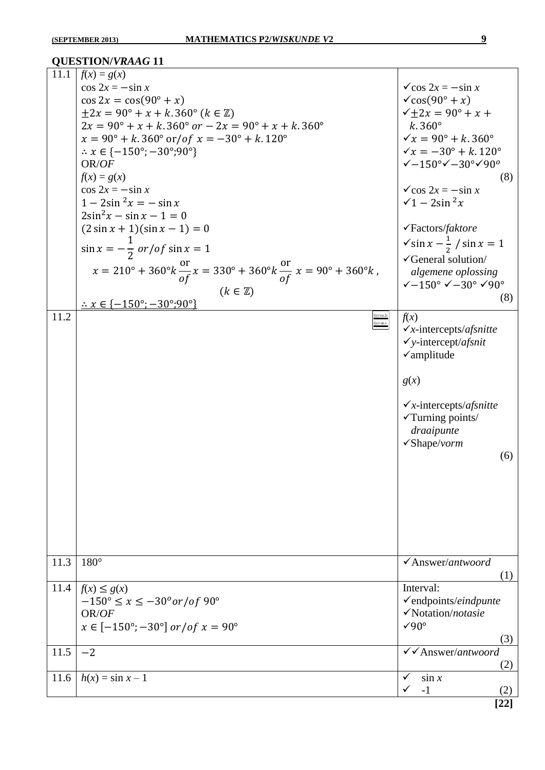| 11.1<br>11.2 | $f(x) = g(x)$<br>$\cos 2x = -\sin x$<br>$\cos 2x = \cos(90^\circ + x)$<br>$\pm 2x = 90^{\circ} + x + k.360^{\circ}$ ( $k \in \mathbb{Z}$ )<br>$2x = 90^{\circ} + x + k.360^{\circ}$ or $- 2x = 90^{\circ} + x + k.360^{\circ}$<br>$x = 90^{\circ} + k.360^{\circ}$ or/of $x = -30^{\circ} + k.120^{\circ}$<br>$\therefore x \in \{-150^{\circ}, -30^{\circ}, 90^{\circ}\}$<br>OR/OF<br>$f(x) = g(x)$<br>$\cos 2x = -\sin x$<br>$1-2\sin^2 x = -\sin x$<br>$2\sin^2 x - \sin x - 1 = 0$<br>$(2 \sin x + 1)(\sin x - 1) = 0$<br>$\sin x = -\frac{1}{2}$ or / of $\sin x = 1$<br>$x = 210^{\circ} + 360^{\circ}k \frac{\text{or}}{\text{of}} x = 330^{\circ} + 360^{\circ}k \frac{\text{or}}{\text{of}} x = 90^{\circ} + 360^{\circ}k$ ,<br>$(k \in \mathbb{Z})$<br>$\therefore x \in \{-150^{\circ}, -30^{\circ}, 90^{\circ}\}$<br>$f(x) = cos 2x$<br>$f(x)=\sin x$ | $\sqrt{\cos 2x} = -\sin x$<br>$\sqrt{\cos(90^\circ + x)}$<br>$\sqrt{\pm 2x} = 90^{\circ} + x +$<br>$k.360^\circ$<br>$\sqrt{x} = 90^{\circ} + k.360^{\circ}$<br>$\sqrt{x} = -30^{\circ} + k.120^{\circ}$<br>$\sqrt{-150^\circ\sqrt{-30^\circ\sqrt{90^\circ}}}$<br>(8)<br>$\sqrt{\cos 2x} = -\sin x$<br>$\sqrt{1-2\sin^2 x}$<br>$\sqrt{\text{Factors}}/faktore$<br>$\sqrt{\sin x - \frac{1}{2}}$ / sin x = 1<br>General solution/<br>algemene oplossing<br>$\sqrt{-150^\circ}$ $\sqrt{-30^\circ}$ $\sqrt{90^\circ}$<br>(8)<br>f(x)<br>$\checkmark$ x-intercepts/afsnitte<br>$\checkmark$ y-intercept/ <i>afsnit</i><br>$\checkmark$ amplitude |
|--------------|-------------------------------------------------------------------------------------------------------------------------------------------------------------------------------------------------------------------------------------------------------------------------------------------------------------------------------------------------------------------------------------------------------------------------------------------------------------------------------------------------------------------------------------------------------------------------------------------------------------------------------------------------------------------------------------------------------------------------------------------------------------------------------------------------------------------------------------------------------------------|---------------------------------------------------------------------------------------------------------------------------------------------------------------------------------------------------------------------------------------------------------------------------------------------------------------------------------------------------------------------------------------------------------------------------------------------------------------------------------------------------------------------------------------------------------------------------------------------------------------------------------------------|
|              |                                                                                                                                                                                                                                                                                                                                                                                                                                                                                                                                                                                                                                                                                                                                                                                                                                                                   | g(x)                                                                                                                                                                                                                                                                                                                                                                                                                                                                                                                                                                                                                                        |
|              |                                                                                                                                                                                                                                                                                                                                                                                                                                                                                                                                                                                                                                                                                                                                                                                                                                                                   | $\checkmark$ x-intercepts/ <i>afsnitte</i><br>√Turning points/<br>draaipunte<br>$\checkmark$ Shape/vorm<br>(6)                                                                                                                                                                                                                                                                                                                                                                                                                                                                                                                              |
| 11.3         | $180^\circ$                                                                                                                                                                                                                                                                                                                                                                                                                                                                                                                                                                                                                                                                                                                                                                                                                                                       | $\checkmark$ Answer/antwoord<br>(1)                                                                                                                                                                                                                                                                                                                                                                                                                                                                                                                                                                                                         |
| 11.4         | $f(x) \leq g(x)$<br>$-150^{\circ} \le x \le -30^{\circ}$ or / of 90°<br>OR/OF<br>$x \in [-150^{\circ}, -30^{\circ}]$ or/of $x = 90^{\circ}$                                                                                                                                                                                                                                                                                                                                                                                                                                                                                                                                                                                                                                                                                                                       | Interval:<br>$\checkmark$ endpoints/eindpunte<br>$\checkmark$ Notation/notasie<br>$\sqrt{90^\circ}$<br>(3)                                                                                                                                                                                                                                                                                                                                                                                                                                                                                                                                  |
| 11.5         | $-2$                                                                                                                                                                                                                                                                                                                                                                                                                                                                                                                                                                                                                                                                                                                                                                                                                                                              | √ Answer/antwoord<br>(2)                                                                                                                                                                                                                                                                                                                                                                                                                                                                                                                                                                                                                    |
| 11.6         | $h(x) = \sin x - 1$                                                                                                                                                                                                                                                                                                                                                                                                                                                                                                                                                                                                                                                                                                                                                                                                                                               | $\sin x$<br>✓<br>$-1$<br>(2)                                                                                                                                                                                                                                                                                                                                                                                                                                                                                                                                                                                                                |
|              |                                                                                                                                                                                                                                                                                                                                                                                                                                                                                                                                                                                                                                                                                                                                                                                                                                                                   | $[22]$                                                                                                                                                                                                                                                                                                                                                                                                                                                                                                                                                                                                                                      |